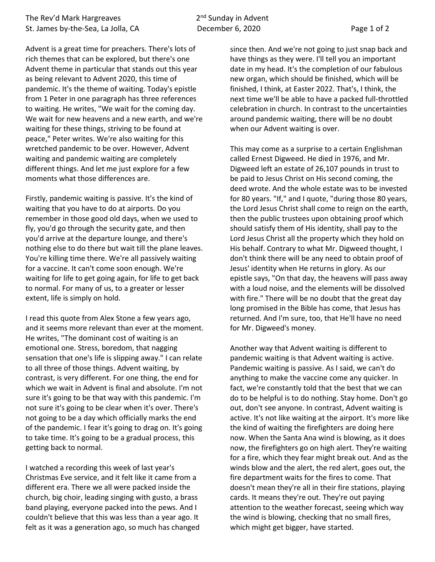Advent is a great time for preachers. There's lots of rich themes that can be explored, but there's one Advent theme in particular that stands out this year as being relevant to Advent 2020, this time of pandemic. It's the theme of waiting. Today's epistle from 1 Peter in one paragraph has three references to waiting. He writes, "We wait for the coming day. We wait for new heavens and a new earth, and we're waiting for these things, striving to be found at peace," Peter writes. We're also waiting for this wretched pandemic to be over. However, Advent waiting and pandemic waiting are completely different things. And let me just explore for a few moments what those differences are.

Firstly, pandemic waiting is passive. It's the kind of waiting that you have to do at airports. Do you remember in those good old days, when we used to fly, you'd go through the security gate, and then you'd arrive at the departure lounge, and there's nothing else to do there but wait till the plane leaves. You're killing time there. We're all passively waiting for a vaccine. It can't come soon enough. We're waiting for life to get going again, for life to get back to normal. For many of us, to a greater or lesser extent, life is simply on hold.

I read this quote from Alex Stone a few years ago, and it seems more relevant than ever at the moment. He writes, "The dominant cost of waiting is an emotional one. Stress, boredom, that nagging sensation that one's life is slipping away." I can relate to all three of those things. Advent waiting, by contrast, is very different. For one thing, the end for which we wait in Advent is final and absolute. I'm not sure it's going to be that way with this pandemic. I'm not sure it's going to be clear when it's over. There's not going to be a day which officially marks the end of the pandemic. I fear it's going to drag on. It's going to take time. It's going to be a gradual process, this getting back to normal.

I watched a recording this week of last year's Christmas Eve service, and it felt like it came from a different era. There we all were packed inside the church, big choir, leading singing with gusto, a brass band playing, everyone packed into the pews. And I couldn't believe that this was less than a year ago. It felt as it was a generation ago, so much has changed

since then. And we're not going to just snap back and have things as they were. I'll tell you an important date in my head. It's the completion of our fabulous new organ, which should be finished, which will be finished, I think, at Easter 2022. That's, I think, the next time we'll be able to have a packed full-throttled celebration in church. In contrast to the uncertainties around pandemic waiting, there will be no doubt when our Advent waiting is over.

This may come as a surprise to a certain Englishman called Ernest Digweed. He died in 1976, and Mr. Digweed left an estate of 26,107 pounds in trust to be paid to Jesus Christ on His second coming, the deed wrote. And the whole estate was to be invested for 80 years. "If," and I quote, "during those 80 years, the Lord Jesus Christ shall come to reign on the earth, then the public trustees upon obtaining proof which should satisfy them of His identity, shall pay to the Lord Jesus Christ all the property which they hold on His behalf. Contrary to what Mr. Digweed thought, I don't think there will be any need to obtain proof of Jesus' identity when He returns in glory. As our epistle says, "On that day, the heavens will pass away with a loud noise, and the elements will be dissolved with fire." There will be no doubt that the great day long promised in the Bible has come, that Jesus has returned. And I'm sure, too, that He'll have no need for Mr. Digweed's money.

Another way that Advent waiting is different to pandemic waiting is that Advent waiting is active. Pandemic waiting is passive. As I said, we can't do anything to make the vaccine come any quicker. In fact, we're constantly told that the best that we can do to be helpful is to do nothing. Stay home. Don't go out, don't see anyone. In contrast, Advent waiting is active. It's not like waiting at the airport. It's more like the kind of waiting the firefighters are doing here now. When the Santa Ana wind is blowing, as it does now, the firefighters go on high alert. They're waiting for a fire, which they fear might break out. And as the winds blow and the alert, the red alert, goes out, the fire department waits for the fires to come. That doesn't mean they're all in their fire stations, playing cards. It means they're out. They're out paying attention to the weather forecast, seeing which way the wind is blowing, checking that no small fires, which might get bigger, have started.